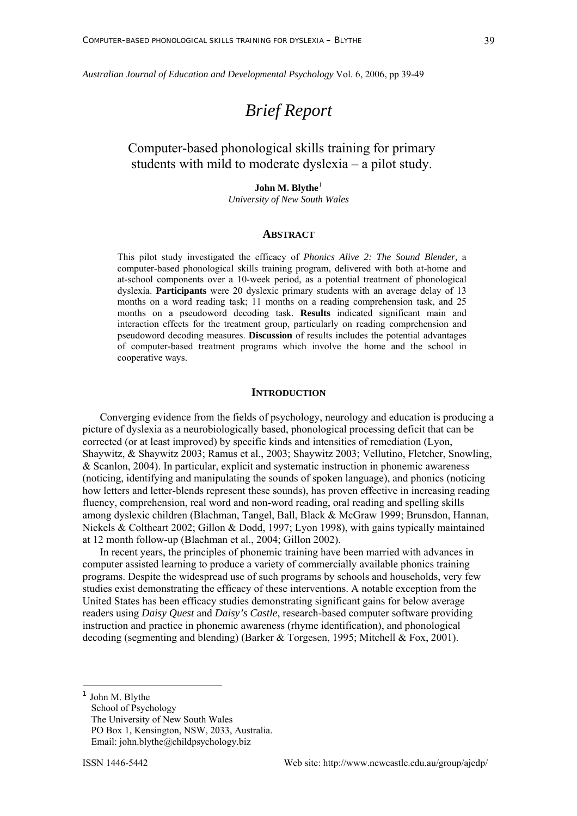*Australian Journal of Education and Developmental Psychology* Vol. 6, 2006, pp 39-49

# *Brief Report*

# Computer-based phonological skills training for primary students with mild to moderate dyslexia – a pilot study.

# **John M. Blythe**<sup>[1](#page-0-0)</sup>

*University of New South Wales* 

#### **ABSTRACT**

This pilot study investigated the efficacy of *Phonics Alive 2: The Sound Blender,* a computer-based phonological skills training program, delivered with both at-home and at-school components over a 10-week period, as a potential treatment of phonological dyslexia. **Participants** were 20 dyslexic primary students with an average delay of 13 months on a word reading task; 11 months on a reading comprehension task, and 25 months on a pseudoword decoding task. **Results** indicated significant main and interaction effects for the treatment group, particularly on reading comprehension and pseudoword decoding measures. **Discussion** of results includes the potential advantages of computer-based treatment programs which involve the home and the school in cooperative ways.

#### **INTRODUCTION**

Converging evidence from the fields of psychology, neurology and education is producing a picture of dyslexia as a neurobiologically based, phonological processing deficit that can be corrected (or at least improved) by specific kinds and intensities of remediation (Lyon, Shaywitz, & Shaywitz 2003; Ramus et al., 2003; Shaywitz 2003; Vellutino, Fletcher, Snowling, & Scanlon, 2004). In particular, explicit and systematic instruction in phonemic awareness (noticing, identifying and manipulating the sounds of spoken language), and phonics (noticing how letters and letter-blends represent these sounds), has proven effective in increasing reading fluency, comprehension, real word and non-word reading, oral reading and spelling skills among dyslexic children (Blachman, Tangel, Ball, Black & McGraw 1999; Brunsdon, Hannan, Nickels & Coltheart 2002; Gillon & Dodd, 1997; Lyon 1998), with gains typically maintained at 12 month follow-up (Blachman et al., 2004; Gillon 2002).

In recent years, the principles of phonemic training have been married with advances in computer assisted learning to produce a variety of commercially available phonics training programs. Despite the widespread use of such programs by schools and households, very few studies exist demonstrating the efficacy of these interventions. A notable exception from the United States has been efficacy studies demonstrating significant gains for below average readers using *Daisy Quest* and *Daisy's Castle*, research-based computer software providing instruction and practice in phonemic awareness (rhyme identification), and phonological decoding (segmenting and blending) (Barker & Torgesen, 1995; Mitchell & Fox, 2001).

John M. Blythe School of Psychology The University of New South Wales PO Box 1, Kensington, NSW, 2033, Australia. Email: john.blythe@childpsychology.biz

<span id="page-0-0"></span>1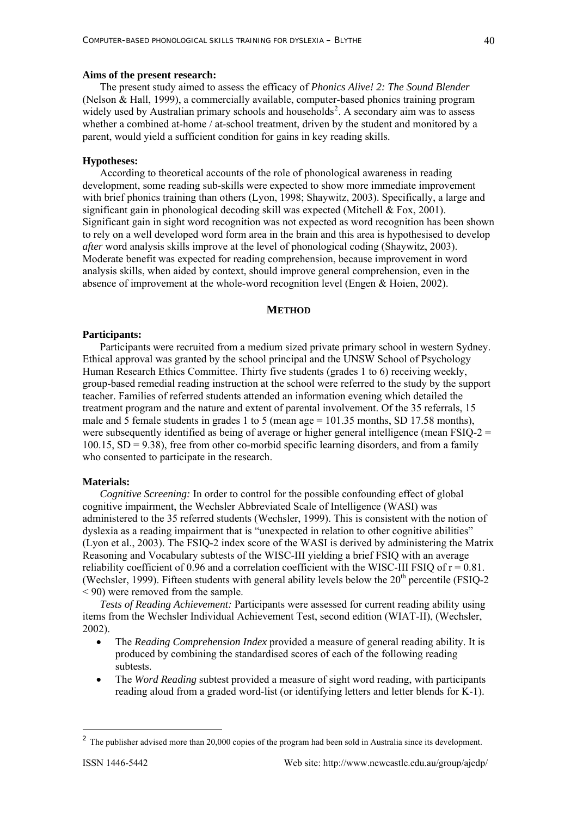#### **Aims of the present research:**

The present study aimed to assess the efficacy of *Phonics Alive! 2: The Sound Blender* (Nelson & Hall, 1999), a commercially available, computer-based phonics training program widely used by Australian primary schools and households<sup>[2](#page-1-0)</sup>. A secondary aim was to assess whether a combined at-home / at-school treatment, driven by the student and monitored by a parent, would yield a sufficient condition for gains in key reading skills.

#### **Hypotheses:**

According to theoretical accounts of the role of phonological awareness in reading development, some reading sub-skills were expected to show more immediate improvement with brief phonics training than others (Lyon, 1998; Shaywitz, 2003). Specifically, a large and significant gain in phonological decoding skill was expected (Mitchell & Fox, 2001). Significant gain in sight word recognition was not expected as word recognition has been shown to rely on a well developed word form area in the brain and this area is hypothesised to develop *after* word analysis skills improve at the level of phonological coding (Shaywitz, 2003). Moderate benefit was expected for reading comprehension, because improvement in word analysis skills, when aided by context, should improve general comprehension, even in the absence of improvement at the whole-word recognition level (Engen & Hoien, 2002).

#### **METHOD**

#### **Participants:**

Participants were recruited from a medium sized private primary school in western Sydney. Ethical approval was granted by the school principal and the UNSW School of Psychology Human Research Ethics Committee. Thirty five students (grades 1 to 6) receiving weekly, group-based remedial reading instruction at the school were referred to the study by the support teacher. Families of referred students attended an information evening which detailed the treatment program and the nature and extent of parental involvement. Of the 35 referrals, 15 male and 5 female students in grades 1 to 5 (mean age = 101.35 months, SD 17.58 months), were subsequently identified as being of average or higher general intelligence (mean  $FSIO-2 =$  $100.15$ ,  $SD = 9.38$ ), free from other co-morbid specific learning disorders, and from a family who consented to participate in the research.

### **Materials:**

*Cognitive Screening:* In order to control for the possible confounding effect of global cognitive impairment, the Wechsler Abbreviated Scale of Intelligence (WASI) was administered to the 35 referred students (Wechsler, 1999). This is consistent with the notion of dyslexia as a reading impairment that is "unexpected in relation to other cognitive abilities" (Lyon et al., 2003). The FSIQ-2 index score of the WASI is derived by administering the Matrix Reasoning and Vocabulary subtests of the WISC-III yielding a brief FSIQ with an average reliability coefficient of 0.96 and a correlation coefficient with the WISC-III FSIO of  $r = 0.81$ . (Wechsler, 1999). Fifteen students with general ability levels below the  $20<sup>th</sup>$  percentile (FSIQ-2) < 90) were removed from the sample.

*Tests of Reading Achievement:* Participants were assessed for current reading ability using items from the Wechsler Individual Achievement Test, second edition (WIAT-II), (Wechsler, 2002).

- The *Reading Comprehension Index* provided a measure of general reading ability. It is produced by combining the standardised scores of each of the following reading subtests.
- The *Word Reading* subtest provided a measure of sight word reading, with participants reading aloud from a graded word-list (or identifying letters and letter blends for K-1).

1

<span id="page-1-0"></span><sup>&</sup>lt;sup>2</sup> The publisher advised more than 20,000 copies of the program had been sold in Australia since its development.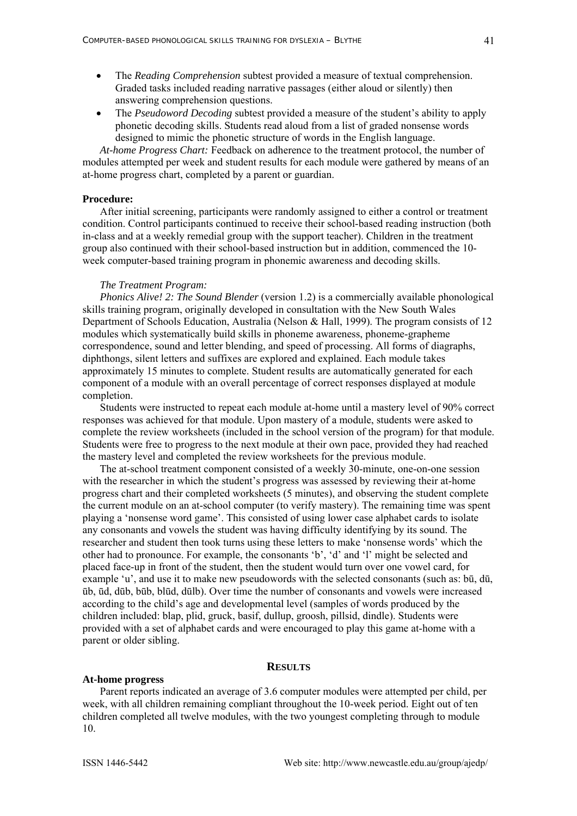- The *Reading Comprehension* subtest provided a measure of textual comprehension. Graded tasks included reading narrative passages (either aloud or silently) then answering comprehension questions.
- The *Pseudoword Decoding* subtest provided a measure of the student's ability to apply phonetic decoding skills. Students read aloud from a list of graded nonsense words designed to mimic the phonetic structure of words in the English language.

*At-home Progress Chart:* Feedback on adherence to the treatment protocol, the number of modules attempted per week and student results for each module were gathered by means of an at-home progress chart, completed by a parent or guardian.

#### **Procedure:**

After initial screening, participants were randomly assigned to either a control or treatment condition. Control participants continued to receive their school-based reading instruction (both in-class and at a weekly remedial group with the support teacher). Children in the treatment group also continued with their school-based instruction but in addition, commenced the 10 week computer-based training program in phonemic awareness and decoding skills.

#### *The Treatment Program:*

*Phonics Alive! 2: The Sound Blender* (version 1.2) is a commercially available phonological skills training program, originally developed in consultation with the New South Wales Department of Schools Education, Australia (Nelson & Hall, 1999). The program consists of 12 modules which systematically build skills in phoneme awareness, phoneme-grapheme correspondence, sound and letter blending, and speed of processing. All forms of diagraphs, diphthongs, silent letters and suffixes are explored and explained. Each module takes approximately 15 minutes to complete. Student results are automatically generated for each component of a module with an overall percentage of correct responses displayed at module completion.

Students were instructed to repeat each module at-home until a mastery level of 90% correct responses was achieved for that module. Upon mastery of a module, students were asked to complete the review worksheets (included in the school version of the program) for that module. Students were free to progress to the next module at their own pace, provided they had reached the mastery level and completed the review worksheets for the previous module.

The at-school treatment component consisted of a weekly 30-minute, one-on-one session with the researcher in which the student's progress was assessed by reviewing their at-home progress chart and their completed worksheets (5 minutes), and observing the student complete the current module on an at-school computer (to verify mastery). The remaining time was spent playing a 'nonsense word game'. This consisted of using lower case alphabet cards to isolate any consonants and vowels the student was having difficulty identifying by its sound. The researcher and student then took turns using these letters to make 'nonsense words' which the other had to pronounce. For example, the consonants 'b', 'd' and 'l' might be selected and placed face-up in front of the student, then the student would turn over one vowel card, for example 'u', and use it to make new pseudowords with the selected consonants (such as: bū, dū, ūb, ūd, dūb, būb, blūd, dūlb). Over time the number of consonants and vowels were increased according to the child's age and developmental level (samples of words produced by the children included: blap, plid, gruck, basif, dullup, groosh, pillsid, dindle). Students were provided with a set of alphabet cards and were encouraged to play this game at-home with a parent or older sibling.

#### **RESULTS**

#### **At-home progress**

Parent reports indicated an average of 3.6 computer modules were attempted per child, per week, with all children remaining compliant throughout the 10-week period. Eight out of ten children completed all twelve modules, with the two youngest completing through to module 10.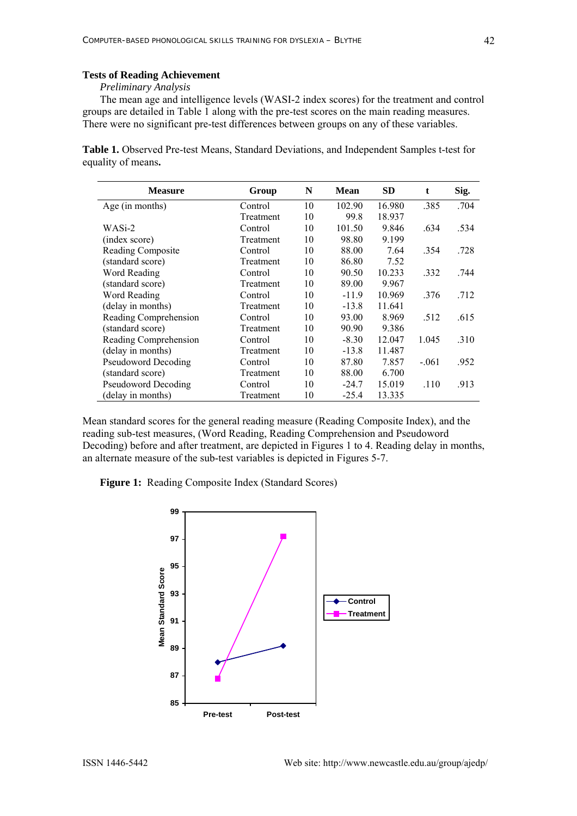# **Tests of Reading Achievement**

#### *Preliminary Analysis*

The mean age and intelligence levels (WASI-2 index scores) for the treatment and control groups are detailed in Table 1 along with the pre-test scores on the main reading measures. There were no significant pre-test differences between groups on any of these variables.

**Table 1.** Observed Pre-test Means, Standard Deviations, and Independent Samples t-test for equality of means**.** 

| <b>Measure</b>             | Group     | N  | <b>Mean</b> | <b>SD</b> | t       | Sig. |
|----------------------------|-----------|----|-------------|-----------|---------|------|
| Age (in months)            | Control   | 10 | 102.90      | 16.980    | .385    | .704 |
|                            | Treatment | 10 | 99.8        | 18.937    |         |      |
| WASi-2                     | Control   | 10 | 101.50      | 9.846     | .634    | .534 |
| (index score)              | Treatment | 10 | 98.80       | 9.199     |         |      |
| Reading Composite          | Control   | 10 | 88.00       | 7.64      | .354    | .728 |
| (standard score)           | Treatment | 10 | 86.80       | 7.52      |         |      |
| Word Reading               | Control   | 10 | 90.50       | 10.233    | .332    | .744 |
| (standard score)           | Treatment | 10 | 89.00       | 9.967     |         |      |
| Word Reading               | Control   | 10 | $-11.9$     | 10.969    | .376    | .712 |
| (delay in months)          | Treatment | 10 | $-13.8$     | 11.641    |         |      |
| Reading Comprehension      | Control   | 10 | 93.00       | 8.969     | .512    | .615 |
| (standard score)           | Treatment | 10 | 90.90       | 9.386     |         |      |
| Reading Comprehension      | Control   | 10 | $-8.30$     | 12.047    | 1.045   | .310 |
| (delay in months)          | Treatment | 10 | $-13.8$     | 11.487    |         |      |
| Pseudoword Decoding        | Control   | 10 | 87.80       | 7.857     | $-.061$ | .952 |
| (standard score)           | Treatment | 10 | 88.00       | 6.700     |         |      |
| <b>Pseudoword Decoding</b> | Control   | 10 | $-24.7$     | 15.019    | .110    | .913 |
| (delay in months)          | Treatment | 10 | $-25.4$     | 13.335    |         |      |

Mean standard scores for the general reading measure (Reading Composite Index), and the reading sub-test measures, (Word Reading, Reading Comprehension and Pseudoword Decoding) before and after treatment, are depicted in Figures 1 to 4. Reading delay in months, an alternate measure of the sub-test variables is depicted in Figures 5-7.

**Figure 1:** Reading Composite Index (Standard Scores)

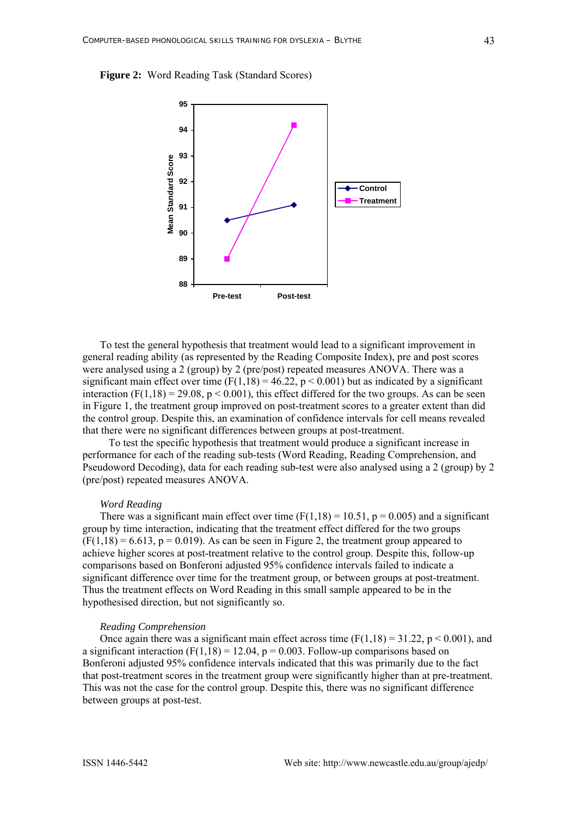**Figure 2:** Word Reading Task (Standard Scores)



To test the general hypothesis that treatment would lead to a significant improvement in general reading ability (as represented by the Reading Composite Index), pre and post scores were analysed using a 2 (group) by 2 (pre/post) repeated measures ANOVA. There was a significant main effect over time (F(1,18) = 46.22,  $p < 0.001$ ) but as indicated by a significant interaction  $(F(1,18) = 29.08, p < 0.001)$ , this effect differed for the two groups. As can be seen in Figure 1, the treatment group improved on post-treatment scores to a greater extent than did the control group. Despite this, an examination of confidence intervals for cell means revealed that there were no significant differences between groups at post-treatment.

To test the specific hypothesis that treatment would produce a significant increase in performance for each of the reading sub-tests (Word Reading, Reading Comprehension, and Pseudoword Decoding), data for each reading sub-test were also analysed using a 2 (group) by 2 (pre/post) repeated measures ANOVA.

#### *Word Reading*

There was a significant main effect over time  $(F(1.18) = 10.51, p = 0.005)$  and a significant group by time interaction, indicating that the treatment effect differed for the two groups  $(F(1,18) = 6.613, p = 0.019)$ . As can be seen in Figure 2, the treatment group appeared to achieve higher scores at post-treatment relative to the control group. Despite this, follow-up comparisons based on Bonferoni adjusted 95% confidence intervals failed to indicate a significant difference over time for the treatment group, or between groups at post-treatment. Thus the treatment effects on Word Reading in this small sample appeared to be in the hypothesised direction, but not significantly so.

#### *Reading Comprehension*

Once again there was a significant main effect across time  $(F(1,18) = 31.22, p \le 0.001)$ , and a significant interaction  $(F(1,18) = 12.04, p = 0.003$ . Follow-up comparisons based on Bonferoni adjusted 95% confidence intervals indicated that this was primarily due to the fact that post-treatment scores in the treatment group were significantly higher than at pre-treatment. This was not the case for the control group. Despite this, there was no significant difference between groups at post-test.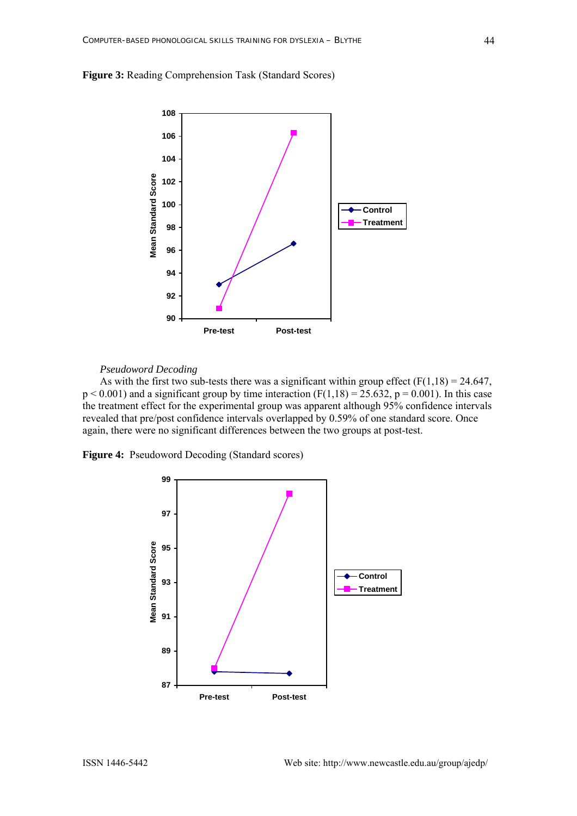



#### *Pseudoword Decoding*

As with the first two sub-tests there was a significant within group effect  $(F(1,18) = 24.647)$ ,  $p < 0.001$ ) and a significant group by time interaction (F(1,18) = 25.632, p = 0.001). In this case the treatment effect for the experimental group was apparent although 95% confidence intervals revealed that pre/post confidence intervals overlapped by 0.59% of one standard score. Once again, there were no significant differences between the two groups at post-test.

**Figure 4:** Pseudoword Decoding (Standard scores)

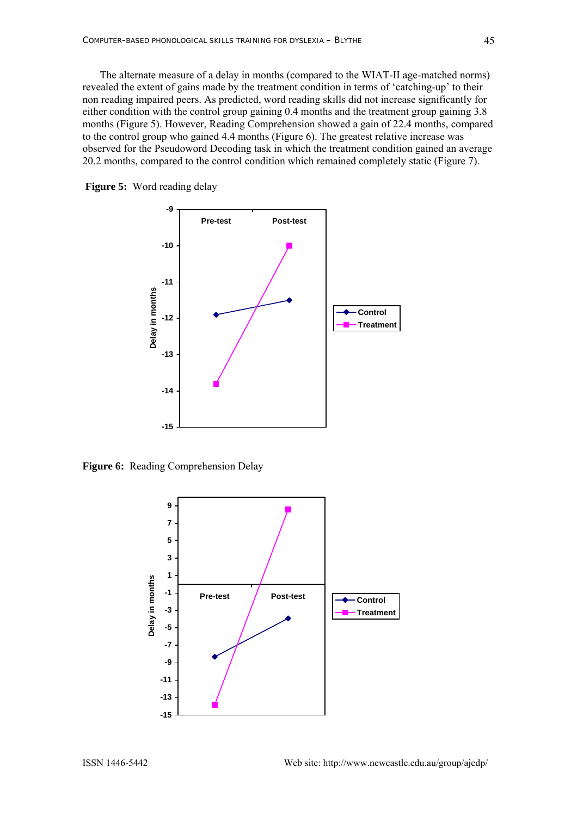The alternate measure of a delay in months (compared to the WIAT-II age-matched norms) reve aled the extent of gains made by the treatment condition in terms of 'catching-up' to their observed for the Pseudoword Decoding task in which the treatment condition gained an average non reading impaired peers. As predicted, word reading skills did not increase significantly for either condition with the control group gaining 0.4 months and the treatment group gaining 3.8 months (Figure 5). However, Reading Comprehension showed a gain of 22.4 months, compared to the control group who gained 4.4 months (Figure 6). The greatest relative increase was 20.2 months, compared to the control condition which remained completely static (Figure 7).





**Figure 6:** Reading Comprehension Delay

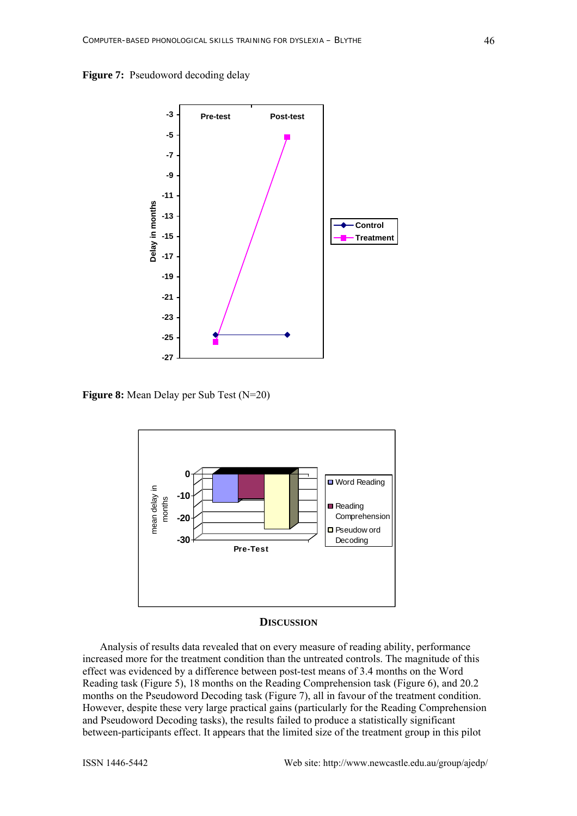



**Figure 8:** Mean Delay per Sub Test (N=20)



# **DISCUSSION**

Analysis of results data revealed that on every measure of reading ability, performance incr eased more for the treatment condition than the untreated controls. The magnitude of this Reading task (Figure 5), 18 months on the Reading Comprehension task (Figure 6), and 20.2 between-participants effect. It appears that the limited size of the treatment group in this pilot effect was evidenced by a difference between post-test means of 3.4 months on the Word months on the Pseudoword Decoding task (Figure 7), all in favour of the treatment condition. However, despite these very large practical gains (particularly for the Reading Comprehension and Pseudoword Decoding tasks), the results failed to produce a statistically significant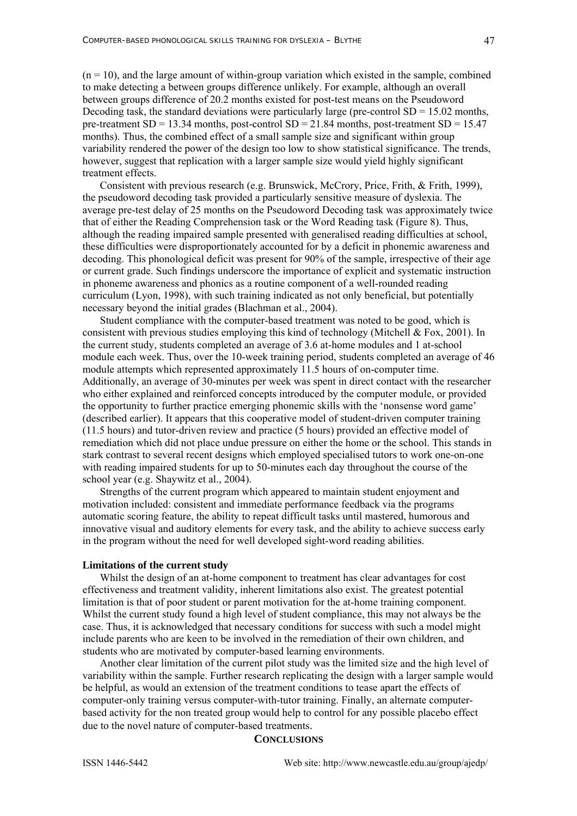$(n = 10)$ , and the large amount of within-group variation which existed in the sample, combined to make detecting a between groups difference unlikely. For example, although an overall between groups difference of 20.2 months existed for post-test means on the Pseudoword Decoding task, the standard deviations were particularly large (pre-control  $SD = 15.02$  months, pre-treatment  $SD = 13.34$  months, post-control  $SD = 21.84$  months, post-treatment  $SD = 15.47$ months). Thus, the combined effect of a small sample size and significant within group variability rendered the power of the design too low to show statistical significance. The trends, however, suggest that replication with a larger sample size would yield highly significant treatment effects.

Consistent wit h previous research (e.g. Brunswick, McCrory, Price, Frith, & Frith, 1999), the pseudoword decoding task provided a particularly sensitive measure of dyslexia. The average pre-test delay of 25 months on the Pseudoword Decoding task was approximately twice although the reading impaired sample presented with generalised reading difficulties at school, curriculum (Lyon, 1998), with such training indicated as not only beneficial, but potentially that of either the Reading Comprehension task or the Word Reading task (Figure 8). Thus, these difficulties were disproportionately accounted for by a deficit in phonemic awareness and decoding. This phonological deficit was present for 90% of the sample, irrespective of their age or current grade. Such findings underscore the importance of explicit and systematic instruction in phoneme awareness and phonics as a routine component of a well-rounded reading necessary beyond the initial grades (Blachman et al., 2004).

Student compliance with the computer-based treatment was noted to be good, which is consistent with previous studies employing this kind of technology (Mitchell  $& Fox, 2001$ ). In module each week. Thus, over the 10-week training period, students completed an average of 46 Additionally, an average of 30-minutes per week was spent in direct contact with the researcher remediation which did not place undue pressure on either the home or the school. This stands in the current study, students completed an average of 3.6 at-home modules and 1 at-school module attempts which represented approximately 11.5 hours of on-computer time. who either explained and reinforced concepts introduced by the computer module, or provided the opportunity to further practice emerging phonemic skills with the 'nonsense word game' (described earlier). It appears that this cooperative model of student-driven computer training (11.5 hours) and tutor-driven review and practice (5 hours) provided an effective model of stark contrast to several recent designs which employed specialised tutors to work one-on-one with reading impaired students for up to 50-minutes each day throughout the course of the school year (e.g. Shaywitz et al., 2004).

Strengths of the current program which appeared to maintain student enjoyment and mot ivation included: consistent and immediate performance feedback via the programs automatic scoring feature, the ability to repeat difficult tasks until mastered, humorous and innovative visual and auditory elements for every task, and the ability to achieve success early in the program without the need for well developed sight-word reading abilities.

#### Limitations of the current study

Whilst the design of an at-home component to treatment has clear advantages for cost effe ctiveness and treatment validity, inherent limitations also exist. The greatest potential Whilst the current study found a high level of student compliance, this may not always be the limitation is that of poor student or parent motivation for the at-home training component. case. Thus, it is acknowledged that necessary conditions for success with such a model might include parents who are keen to be involved in the remediation of their own children, and students who are motivated by computer-based learning environments.

Another clear limitation of the current pilot study was the limited size and the high level of vari ability within the sample. Further research replicating the design with a larger sample would computer-only training versus computer-with-tutor training. Finally, an alternate computerbased activity for the non treated group would help to control for any possible placebo effect be helpful, as would an extension of the treatment conditions to tease apart the effects of due to the novel nature of computer-based treatments.

# **CONCLUSIONS**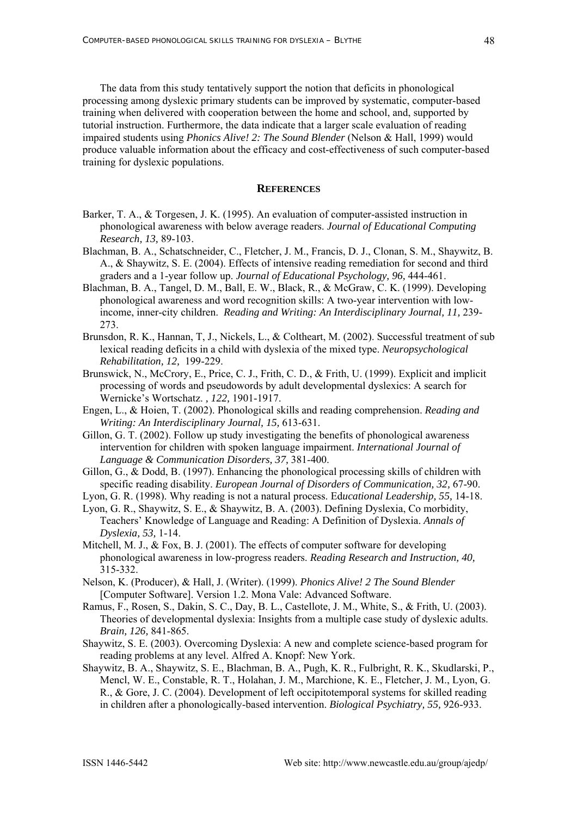The data from this study tentatively support the notion that deficits in phonological processing among dyslexic primary students can be improved by systematic, computer-based produce valuable information about the efficacy and cost-effectiveness of such computer-based training when delivered with cooperation between the home and school, and, supported by tutorial instruction. Furthermore, the data indicate that a larger scale evaluation of reading impaired students using *Phonics Alive! 2: The Sound Blender* (Nelson & Hall, 1999) would training for dyslexic populations.

### **REFERENCES**

- Barker, T. A., & Torgesen, J. K. (1995). An evaluation of computer-assisted instruction in phonological awareness with below average readers. *Journal of Educational Computing Research, 13,* 89-103.
- Blachman, B. A., Schatschneider, C., Fletcher, J. M., Francis, D. J., Clonan, S. M., Shaywitz, B. A., & Shaywitz, S. E. (2004). Effects of intensive reading remediation for second and third graders and a 1-year follow up. *Journal of Educational Psychology, 96,* 444-461.
- Blachman, B. A., Tangel, D. M., Ball, E. W., Black, R., & McGraw, C. K. (1999). Developing income, inner-city children. *Reading and Writing: An Interdisciplinary Journal, 11, 239*phonological awareness and word recognition skills: A two-year intervention with low-273.
- Brunsdon, R. K., Hannan, T, J., Nickels, L., & Coltheart, M. (2002). Successful treatment of sub lexical reading deficits in a child with dyslexia of the mixed type. *Neuropsychological Rehabilitation, 12,* 199-229.
- Brunswick, N., McCrory, E., Price, C. J., Frith, C. D., & Frith, U. (1999). Explicit and implicit processing of words and pseudowords by adult developmental dyslexics: A search for Wernicke's Wortschatz. *, 122,* 1901-1917.
- Engen, L., & Hoien, T. (2002). Phonological skills and reading comprehension. *Reading and Writing: An Interdisciplinary Journal, 15,* 613-631.
- Gillon, G. T. (2002). Follow up study investigating the benefits of phonological awareness intervention for children with spoken language impairment. *International Journal of Language & Communication Disorders, 37,* 381-400.
- Gillon, G., & Dodd, B. (1997). Enhancing the phonological processing skills of children with specific reading disability. *European Journal of Disorders of Communication, 32,* 67-90.
- Lyo n, G. R. (1998). Why reading is not a natural process. Ed*ucational Leadership, 55,* 14-18.
- Lyon, G. R., Shaywitz, S. E., & Shaywitz, B. A. (2003). Defining Dyslexia, Co morbidity, Teachers' Knowledge of Language and Reading: A Definition of Dyslexia. *Annals of Dyslexia, 53,* 1-14.
- Mitchell, M. J., & Fox, B. J. (2001). The effects of computer software for developing phonological awareness in low-progress readers. *Reading Research and Instruction*, 40, 315-332.
- Nelson, K. (Producer), & Hall, J. (Writer). (1999). *Phonics Alive! 2 The Sound Blender*  [Computer Software]. Version 1.2. Mona Vale: Advanced Software.
- Ramus, F., Rosen, S., Dakin, S. C., Day, B. L., Castellote, J. M., White, S., & Frith, U. (2003). Theories of developmental dyslexia: Insights from a multiple case study of dyslexic adults. *Brain, 126,* 841-865.
- Shaywitz, S. E. (2003). Overcoming Dyslexia: A new and complete science-based program for reading problems at any level. Alfred A. Knopf: New York.
- Shaywitz, B. A., Shaywitz, S. E., Blachman, B. A., Pugh, K. R., Fulbright, R. K., Skudlarski, P., Mencl, W. E., Constable, R. T., Holahan, J. M., Marchione, K. E., Fletcher, J. M., Lyon, G. R., & Gore, J. C. (2004). Development of left occipitotemporal systems for skilled reading in children after a phonologically-based intervention. *Biological Psychiatry, 55,* 926-933.